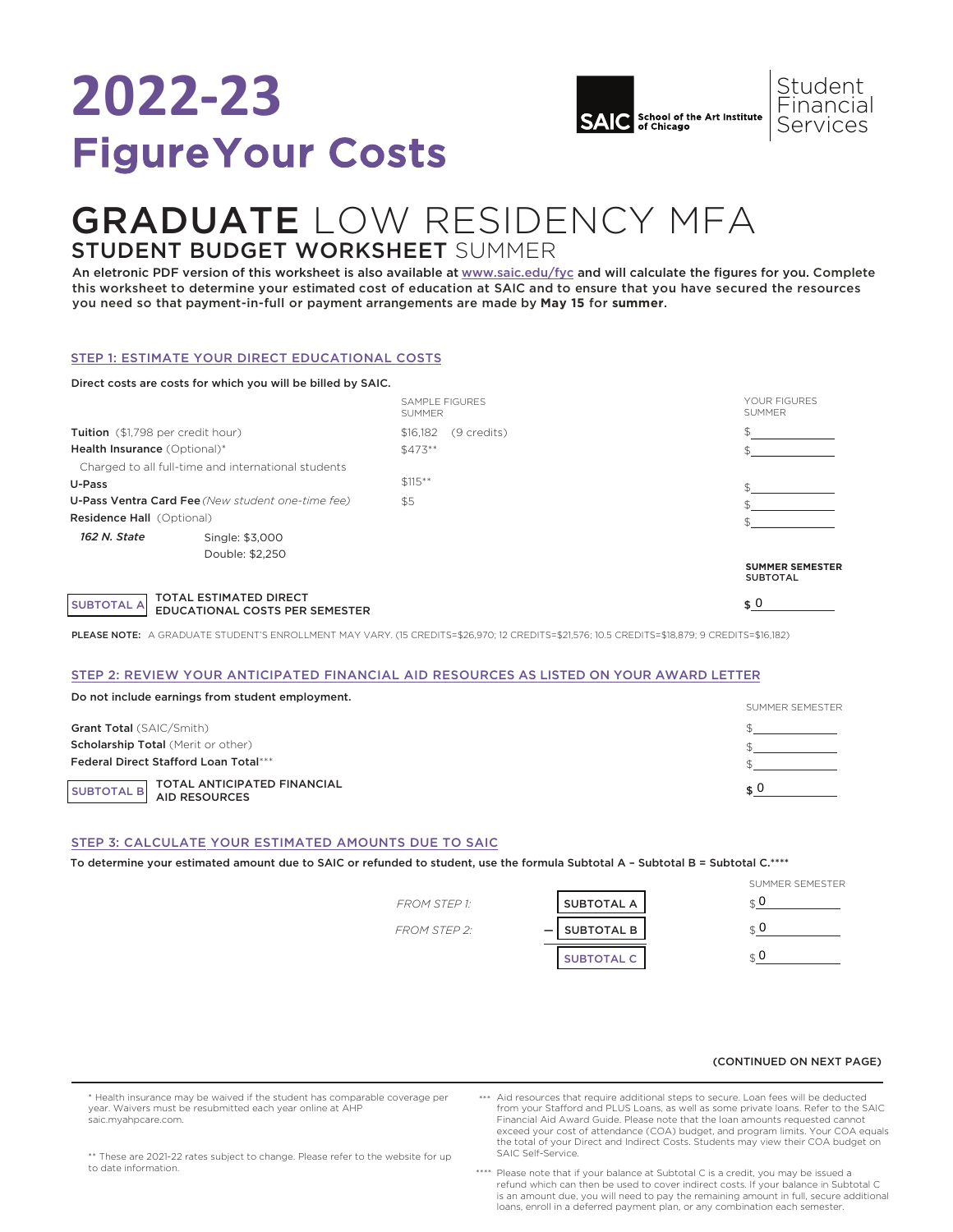# **2022-23** Figure Your Costs



## GRADUATE LOW RESIDENCY MFA STUDENT BUDGET WORKSHEET SUMMER

An eletronic PDF version of this worksheet is also available at [www.saic.edu/fyc](https://www.saic.edu/tuition/figure-your-costs) and will calculate the figures for you. Complete this worksheet to determine your estimated cost of education at SAIC and to ensure that you have secured the resources you need so that payment-in-full or payment arrangements are made by **May 15** for **summer**.

### STEP 1: ESTIMATE YOUR DIRECT EDUCATIONAL COSTS

|                                                   | Direct costs are costs for which you will be billed by SAIC. |                                        |                                           |
|---------------------------------------------------|--------------------------------------------------------------|----------------------------------------|-------------------------------------------|
|                                                   |                                                              | <b>SAMPLE FIGURES</b><br><b>SUMMER</b> | YOUR FIGURES<br><b>SUMMER</b>             |
| Tuition (\$1,798 per credit hour)                 |                                                              | \$16,182<br>(9 credits)                |                                           |
| Health Insurance (Optional)*                      |                                                              | $$473**$                               |                                           |
|                                                   | Charged to all full-time and international students          |                                        |                                           |
| U-Pass                                            |                                                              | $$115***$                              |                                           |
| U-Pass Ventra Card Fee (New student one-time fee) |                                                              | \$5                                    |                                           |
| <b>Residence Hall (Optional)</b>                  |                                                              |                                        |                                           |
| 162 N. State                                      | Single: \$3,000<br>Double: \$2,250                           |                                        |                                           |
|                                                   |                                                              |                                        | <b>SUMMER SEMESTER</b><br><b>SUBTOTAL</b> |
| <b>SUBTOTAL A</b>                                 | TOTAL ESTIMATED DIRECT<br>EDUCATIONAL COSTS PER SEMESTER     |                                        | \$0                                       |

PLEASE NOTE: A GRADUATE STUDENT'S ENROLLMENT MAY VARY. (15 CREDITS=\$26,970; 12 CREDITS=\$21,576; 10.5 CREDITS=\$18,879; 9 CREDITS=\$16,182)

### STEP 2: REVIEW YOUR ANTICIPATED FINANCIAL AID RESOURCES AS LISTED ON YOUR AWARD LETTER

| Do not include earnings from student employment. |                 |
|--------------------------------------------------|-----------------|
|                                                  | SUMMER SEMESTER |
| <b>Grant Total (SAIC/Smith)</b>                  |                 |
| <b>Scholarship Total (Merit or other)</b>        |                 |
| <b>Federal Direct Stafford Loan Total***</b>     |                 |
| SUBTOTAL B TOTAL ANTICIPATED FINANCIAL           |                 |

### STEP 3: CALCULATE YOUR ESTIMATED AMOUNTS DUE TO SAIC

To determine your estimated amount due to SAIC or refunded to student, use the formula Subtotal A – Subtotal B = Subtotal C.\*\*\*\*

|                     |                   | SUMMER SEMESTER |
|---------------------|-------------------|-----------------|
| <b>FROM STEP 1:</b> | <b>SUBTOTAL A</b> |                 |
| <b>FROM STEP 2:</b> | $-$ SUBTOTAL B    |                 |
|                     | <b>SUBTOTAL C</b> |                 |

### (CONTINUED ON NEXT PAGE)

\* Health insurance may be waived if the student has comparable coverage per year. Waivers must be resubmitted each year online at AHP saic.myahpcare.com.

- Aid resources that require additional steps to secure. Loan fees will be deducted \*\*\* from your Stafford and PLUS Loans, as well as some private loans. Refer to the SAIC Financial Aid Award Guide. Please note that the loan amounts requested cannot exceed your cost of attendance (COA) budget, and program limits. Your COA equals the total of your Direct and Indirect Costs. Students may view their COA budget on SAIC Self-Service.
- \*\* These are 2021-22 rates subject to change. Please refer to the website for up to date information.
- Please note that if your balance at Subtotal C is a credit, you may be issued a refund which can then be used to cover indirect costs. If your balance in Subtotal C \*\*\*\* is an amount due, you will need to pay the remaining amount in full, secure additional loans, enroll in a deferred payment plan, or any combination each semester.